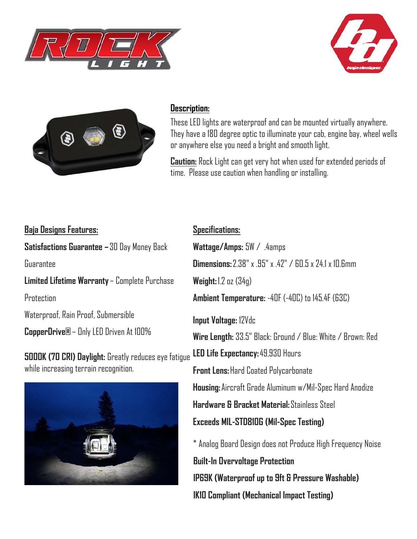





## **Description:**

These LED lights are waterproof and can be mounted virtually anywhere. They have a 180 degree optic to illuminate your cab, engine bay, wheel wells or anywhere else you need a bright and smooth light.

**Caution:** Rock Light can get very hot when used for extended periods of time. Please use caution when handling or installing.

## **Baja Designs Features:**

**Satisfactions Guarantee –** 30 Day Money Back Guarantee

**Limited Lifetime Warranty** – Complete Purchase

**Protection** 

Waterproof, Rain Proof, Submersible

**CopperDrive®** – Only LED Driven At 100%

**5000K (70 CRI) Daylight:** Greatly reduces eye fatigue while increasing terrain recognition.



## **Specifications:**

**Wattage/Amps:** 5W / .4amps **Dimensions:** 2.38" x .95" x .42" / 60.5 x 24.1 x 10.6mm **Weight:** 1.2 oz (34g) **Ambient Temperature:** -40F (-40C) to 145.4F (63C) **Input Voltage:** 12Vdc **Wire Length:** 33.5" Black: Ground / Blue: White / Brown: Red **LED Life Expectancy:** 49,930 Hours **Front Lens:** Hard Coated Polycarbonate **Housing:** Aircraft Grade Aluminum w/Mil-Spec Hard Anodize **Hardware & Bracket Material:** Stainless Steel **Exceeds MIL-STD810G (Mil-Spec Testing)** \* Analog Board Design does not Produce High Frequency Noise **Built-In Overvoltage Protection**

**IP69K (Waterproof up to 9ft & Pressure Washable)**

**IK10 Compliant (Mechanical Impact Testing)**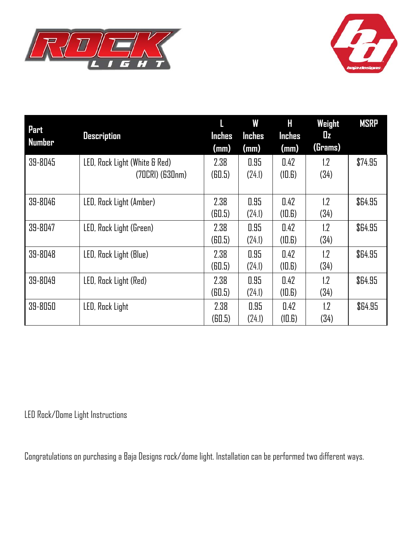



| Part<br>Number | <b>Description</b>                                   | <b>Inches</b><br>(mm)       | W<br><b>Inches</b><br>(mm) | Н<br>Inches<br>(mm) | Weight<br>$\mathbf{u}$<br>(Grams) | <b>MSRP</b> |
|----------------|------------------------------------------------------|-----------------------------|----------------------------|---------------------|-----------------------------------|-------------|
| 39-8045        | LED, Rock Light (White & Red)<br>$(70CRI)$ $(630nm)$ | 2.38<br>(B <sub>0.5</sub> ) | 0.95<br>(24.1)             | 0.42<br>(10.6)      | 1.2<br>(34)                       | \$74.95     |
| 39-8046        | LED, Rock Light (Amber)                              | 2.38<br>(B <sub>0.5</sub> ) | 0.95<br>(24.1)             | 0.42<br>(10.6)      | $1.2\,$<br>(34)                   | \$64.95     |
| 39-8047        | LED, Rock Light (Green)                              | 2.38<br>(B <sub>0.5</sub> ) | 0.95<br>(24.1)             | 0.42<br>(10.6)      | 1.2<br>(34)                       | \$64.95     |
| 39-8048        | LED, Rock Light (Blue)                               | 2.38<br>(B <sub>0.5</sub> ) | 0.95<br>(24.1)             | 0.42<br>(10.6)      | 1.2 <sub>2</sub><br>(34)          | \$64.95     |
| 39-8049        | LED, Rock Light (Red)                                | 2.38<br>(B <sub>0.5</sub> ) | 0.95<br>(24.1)             | 0.42<br>(10.6)      | 1.2<br>(34)                       | \$64.95     |
| 39-8050        | LED, Rock Light                                      | 2.38<br>(B0.5)              | 0.95<br>(24.1)             | 0.42<br>(10.6)      | 1.2<br>(34)                       | \$64.95     |

LED Rock/Dome Light Instructions

Congratulations on purchasing a Baja Designs rock/dome light. Installation can be performed two different ways.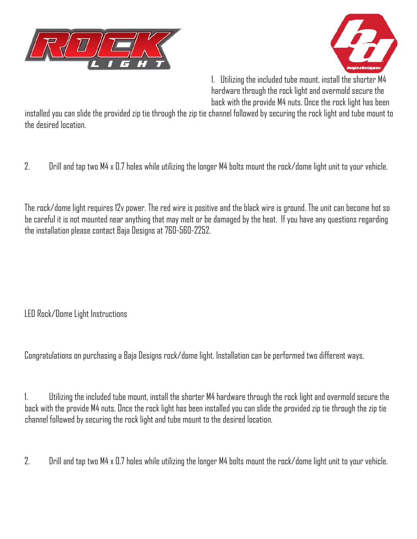



1. Utilizing the included tube mount, install the shorter M4 hardware through the rock light and overmold secure the back with the provide M4 nuts. Once the rock light has been

installed you can slide the provided zip tie through the zip tie channel followed by securing the rock light and tube mount to the desired location.

2. Drill and tap two M4 x 0.7 holes while utilizing the longer M4 bolts mount the rock/dome light unit to your vehicle.

The rock/dome light requires 12v power. The red wire is positive and the black wire is ground. The unit can become hot so be careful it is not mounted near anything that may melt or be damaged by the heat. If you have any questions regarding the installation please contact Baja Designs at 760-560-2252.

LED Rock/Dome Light Instructions

Congratulations on purchasing a Baja Designs rock/dome light. Installation can be performed two different ways.

1. Utilizing the included tube mount, install the shorter M4 hardware through the rock light and overmold secure the back with the provide M4 nuts. Once the rock light has been installed you can slide the provided zip tie through the zip tie channel followed by securing the rock light and tube mount to the desired location.

2. Drill and tap two M4 x 0.7 holes while utilizing the longer M4 bolts mount the rock/dome light unit to your vehicle.